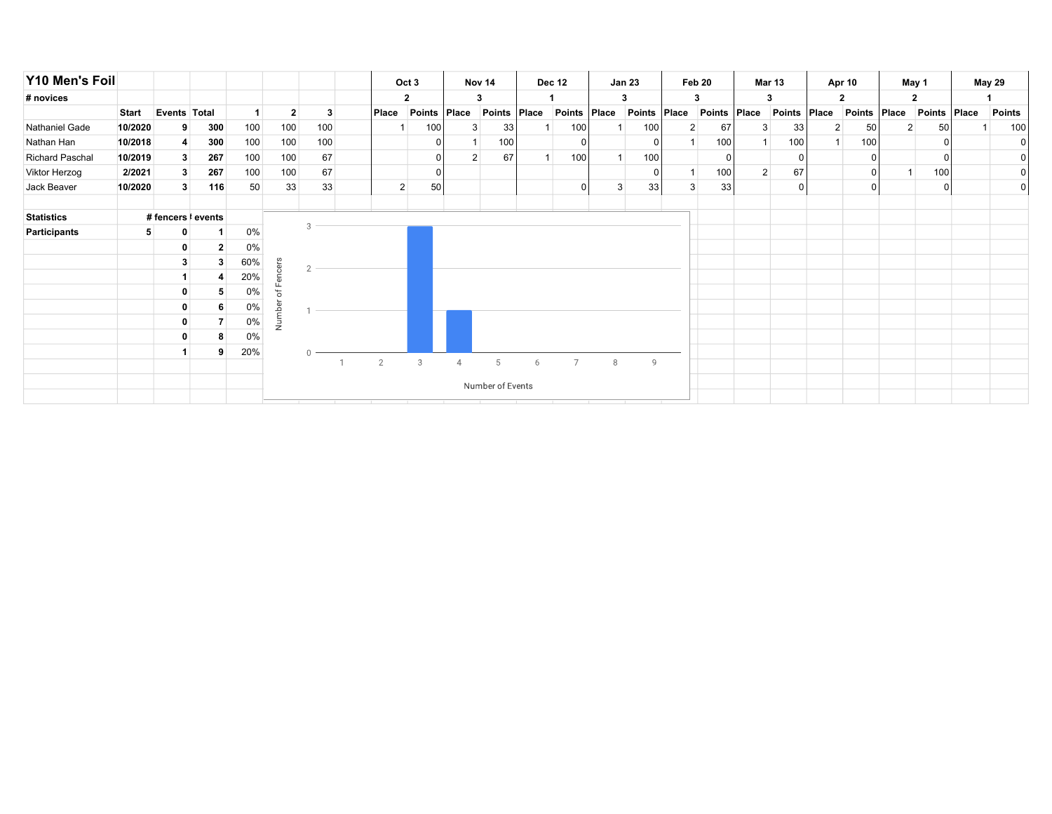| Y10 Men's Foil         |              |                    |              |     |              |                  |  |                | Oct 3        |       | Nov 14        |       | Dec 12         |   | <b>Jan 23</b> |                | Feb 20       |                | <b>Mar 13</b> |                | Apr 10          | May 1          |                | <b>May 29</b>  |
|------------------------|--------------|--------------------|--------------|-----|--------------|------------------|--|----------------|--------------|-------|---------------|-------|----------------|---|---------------|----------------|--------------|----------------|---------------|----------------|-----------------|----------------|----------------|----------------|
| # novices              |              |                    |              |     |              |                  |  |                | $\mathbf{2}$ |       | 3             |       |                |   | 3             |                | 3            |                | 3             |                | $\mathbf{2}$    |                | $\mathbf{2}$   |                |
|                        | <b>Start</b> | Events Total       |              |     | $\mathbf{2}$ | 3                |  | Place          | Points       | Place | <b>Points</b> | Place | Points Place   |   | Points        | Place          | Points Place |                | Points        | Place          | Points          | Place          | Points Place   | <b>Points</b>  |
| Nathaniel Gade         | 10/2020      | 9                  | 300          | 100 | 100          | 100              |  |                | 100          | 3     | 33            |       | 100            |   | 100           | $\overline{2}$ | 67           | 3              | 33            | 2 <sup>2</sup> | 50 <sub>1</sub> | $\overline{2}$ | 50             | 100            |
| Nathan Han             | 10/2018      |                    | 300          | 100 | 100          | 100              |  |                |              |       | 100           |       |                |   |               |                | 100          |                | 100           |                | 100             |                |                | 0              |
| <b>Richard Paschal</b> | 10/2019      | 3                  | 267          | 100 | 100          | 67               |  |                |              | 2     | 67            |       | 100            |   | 100           |                |              |                |               |                | 0               |                | $\Omega$       |                |
| Viktor Herzog          | 2/2021       | 3                  | 267          | 100 | 100          | 67               |  |                |              |       |               |       |                |   | 0             |                | 100          | 2 <sup>1</sup> | 67            |                | 0               |                | 100            | 01             |
| Jack Beaver            | 10/2020      | 3                  | 116          | 50  | 33           | 33               |  | $\overline{2}$ | 50           |       |               |       | $\Omega$       | 3 | 33            | 3 <sup>1</sup> | 33           |                | $\Omega$      |                | 0 l             |                | $\overline{0}$ | $\overline{0}$ |
|                        |              |                    |              |     |              |                  |  |                |              |       |               |       |                |   |               |                |              |                |               |                |                 |                |                |                |
| <b>Statistics</b>      |              | # fencers   events |              |     |              | 3                |  |                |              |       |               |       |                |   |               |                |              |                |               |                |                 |                |                |                |
| Participants           | 5            |                    |              | 0%  |              |                  |  |                |              |       |               |       |                |   |               |                |              |                |               |                |                 |                |                |                |
|                        |              |                    | $\mathbf{2}$ | 0%  |              |                  |  |                |              |       |               |       |                |   |               |                |              |                |               |                |                 |                |                |                |
|                        |              | 3                  | 3            | 60% | ē            | $\mathcal{D}$    |  |                |              |       |               |       |                |   |               |                |              |                |               |                |                 |                |                |                |
|                        |              |                    | Δ            | 20% |              |                  |  |                |              |       |               |       |                |   |               |                |              |                |               |                |                 |                |                |                |
|                        |              |                    | 5            | 0%  | $\Omega$     |                  |  |                |              |       |               |       |                |   |               |                |              |                |               |                |                 |                |                |                |
|                        |              |                    | 6            | 0%  |              |                  |  |                |              |       |               |       |                |   |               |                |              |                |               |                |                 |                |                |                |
|                        |              | 0                  |              | 0%  | Numbe        |                  |  |                |              |       |               |       |                |   |               |                |              |                |               |                |                 |                |                |                |
|                        |              |                    | 8            | 0%  |              |                  |  |                |              |       |               |       |                |   |               |                |              |                |               |                |                 |                |                |                |
|                        |              |                    | 9            | 20% |              |                  |  |                |              |       |               |       |                |   |               |                |              |                |               |                |                 |                |                |                |
|                        |              |                    |              |     |              |                  |  | $\overline{2}$ | 3            | 4     | 5             | 6     | $\overline{7}$ | 8 | 9             |                |              |                |               |                |                 |                |                |                |
|                        |              |                    |              |     |              | Number of Events |  |                |              |       |               |       |                |   |               |                |              |                |               |                |                 |                |                |                |
|                        |              |                    |              |     |              |                  |  |                |              |       |               |       |                |   |               |                |              |                |               |                |                 |                |                |                |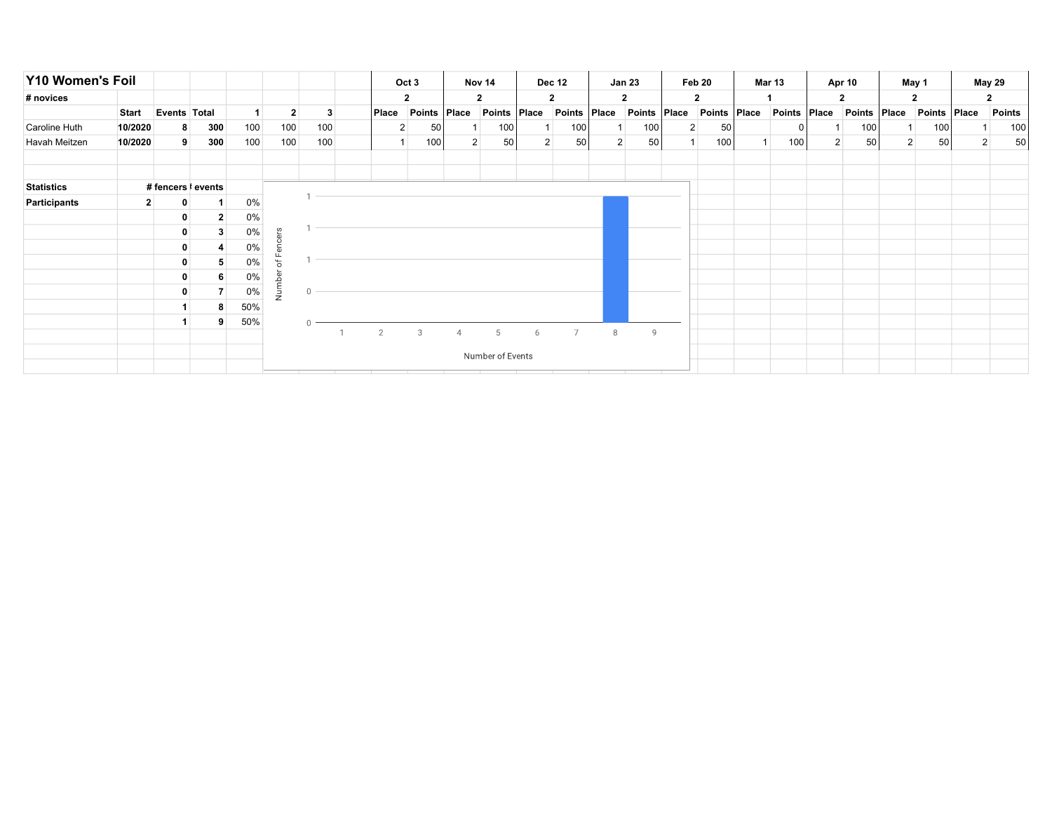| Y10 Women's Foil  |              |                    |                |     |               |              |       | Oct 3                |   | Nov 14               |       | <b>Dec 12</b>        |                | <b>Jan 23</b>           |           | Feb 20               | <b>Mar 13</b> |                | Apr 10          |                | May 1          |                | <b>May 29</b> |
|-------------------|--------------|--------------------|----------------|-----|---------------|--------------|-------|----------------------|---|----------------------|-------|----------------------|----------------|-------------------------|-----------|----------------------|---------------|----------------|-----------------|----------------|----------------|----------------|---------------|
| # novices         |              |                    |                |     |               |              |       | $\mathbf{2}$         |   | $\mathbf{2}$         |       | $\mathbf{2}$         |                | $\overline{\mathbf{2}}$ |           | $\mathbf{2}$         |               |                | $\mathbf{2}$    |                | $\mathbf{2}$   |                | $\mathbf{2}$  |
|                   | <b>Start</b> | Events Total       |                |     | $\mathbf{2}$  | 3            | Place | Points   Place       |   | <b>Points</b>        | Place | Points   Place       |                | <b>Points</b>           | $ $ Place | Points   Place       | Points Place  |                | Points   Place  |                | Points   Place |                | <b>Points</b> |
| Caroline Huth     | 10/2020      | 8                  | 300            | 100 | 100           | 100          |       | 50<br>$\overline{2}$ |   | 100                  |       | 100                  |                | 100                     |           | 2 <sup>1</sup><br>50 |               |                | 100             |                | 100            |                | 100           |
| Havah Meitzen     | 10/2020      | 9 <sup>1</sup>     | 300            | 100 | 100           | 100          |       | 100                  |   | 50<br>$\overline{2}$ |       | 50<br>2 <sup>1</sup> | 2 <sup>1</sup> | 50                      |           | 100                  | 100           | 2 <sup>1</sup> | 50 <sub>1</sub> | 2 <sup>1</sup> | 50             | 2 <sup>1</sup> | 50            |
|                   |              |                    |                |     |               |              |       |                      |   |                      |       |                      |                |                         |           |                      |               |                |                 |                |                |                |               |
| <b>Statistics</b> |              | # fencers   events |                |     |               |              |       |                      |   |                      |       |                      |                |                         |           |                      |               |                |                 |                |                |                |               |
| Participants      | $\mathbf{2}$ | 0                  |                | 0%  |               |              |       |                      |   |                      |       |                      |                |                         |           |                      |               |                |                 |                |                |                |               |
|                   |              | 0                  | $\overline{2}$ | 0%  |               |              |       |                      |   |                      |       |                      |                |                         |           |                      |               |                |                 |                |                |                |               |
|                   |              | $\mathbf{0}$       | $\mathbf{3}$   | 0%  | $\omega$<br>놂 |              |       |                      |   |                      |       |                      |                |                         |           |                      |               |                |                 |                |                |                |               |
|                   |              | 0                  |                | 0%  | កា            |              |       |                      |   |                      |       |                      |                |                         |           |                      |               |                |                 |                |                |                |               |
|                   |              | 0                  | 5              | 0%  | ш<br>5ť       |              |       |                      |   |                      |       |                      |                |                         |           |                      |               |                |                 |                |                |                |               |
|                   |              |                    | 6              | 0%  |               |              |       |                      |   |                      |       |                      |                |                         |           |                      |               |                |                 |                |                |                |               |
|                   |              | 0                  |                | 0%  | Numb          | $\mathbf{0}$ |       |                      |   |                      |       |                      |                |                         |           |                      |               |                |                 |                |                |                |               |
|                   |              |                    | 8              | 50% |               |              |       |                      |   |                      |       |                      |                |                         |           |                      |               |                |                 |                |                |                |               |
|                   |              |                    | 9              | 50% |               |              |       |                      |   |                      |       |                      |                |                         |           |                      |               |                |                 |                |                |                |               |
|                   |              |                    |                |     |               |              | 2     | 3                    | 4 | 5                    | 6     | $\overline{7}$       | 8              | 9                       |           |                      |               |                |                 |                |                |                |               |
|                   |              |                    |                |     |               |              |       |                      |   | Number of Events     |       |                      |                |                         |           |                      |               |                |                 |                |                |                |               |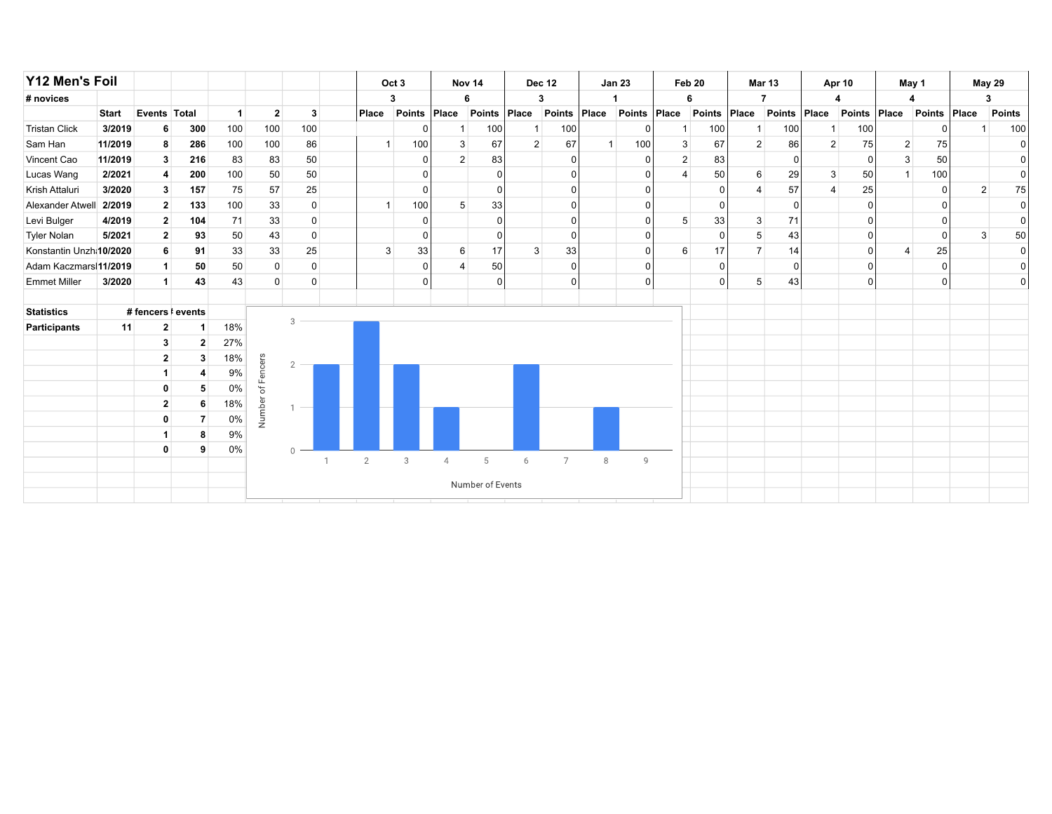| Y12 Men's Foil          |              |                |                    |                |                         |                  |  |                | Oct <sub>3</sub> |              | Nov 14        |                | <b>Dec 12</b>  |                          | <b>Jan 23</b>  |                         | Feb 20         | <b>Mar 13</b>  |               |                | <b>Apr 10</b> | May 1                   |               |       | May 29   |
|-------------------------|--------------|----------------|--------------------|----------------|-------------------------|------------------|--|----------------|------------------|--------------|---------------|----------------|----------------|--------------------------|----------------|-------------------------|----------------|----------------|---------------|----------------|---------------|-------------------------|---------------|-------|----------|
| # novices               |              |                |                    |                |                         |                  |  |                | 3                |              | 6             |                | 3              |                          |                | 6                       |                |                |               |                |               |                         |               | 3     |          |
|                         | <b>Start</b> | Events Total   |                    | $\overline{1}$ | $\overline{\mathbf{2}}$ | 3                |  | Place          | <b>Points</b>    | Place        | <b>Points</b> | Place          | <b>Points</b>  | Place                    | Points         | Place                   | <b>Points</b>  | Place          | <b>Points</b> | Place          | <b>Points</b> | Place                   | <b>Points</b> | Place | Points   |
| <b>Tristan Click</b>    | 3/2019       | 6              | 300                | 100            | 100                     | 100              |  |                |                  | 1            | 100           | 1              | 100            |                          | $\overline{0}$ | -1                      | 100            | -1             | 100           | 1              | 100           |                         |               |       | 100      |
| Sam Han                 | 11/2019      | 8              | 286                | 100            | 100                     | 86               |  |                | 100              | 3            | 67            | $\overline{2}$ | 67             | $\overline{\phantom{a}}$ | 100            | 3                       | 67             | 2              | 86            | $\overline{2}$ | 75            | $\overline{c}$          | 75            |       | $\Omega$ |
| Vincent Cao             | 11/2019      | 3              | 216                | 83             | 83                      | 50               |  |                |                  | $\mathbf{2}$ | 83            |                | $\Omega$       |                          | $\overline{0}$ | $\overline{c}$          | 83             |                |               |                | $\Omega$      | 3                       | 50            |       |          |
| Lucas Wang              | 2/2021       | 4              | 200                | 100            | 50                      | 50               |  |                | O                |              | $\Omega$      |                | $\Omega$       |                          | $\Omega$       | $\overline{\mathbf{A}}$ | 50             | 6              | 29            | 3              | 50            | $\mathbf{1}$            | 100           |       | $\Omega$ |
| Krish Attaluri          | 3/2020       | $\mathbf{3}$   | 157                | 75             | 57                      | 25               |  |                | O                |              | $\Omega$      |                | $\Omega$       |                          | $\Omega$       |                         | $\Omega$       | $\overline{4}$ | 57            | $\overline{4}$ | 25            |                         | ∩             | 2     | 75       |
| Alexander Atwell        | 2/2019       | $\overline{2}$ | 133                | 100            | 33                      | 0                |  |                | 100              | 5            | 33            |                | $\Omega$       |                          | $\overline{0}$ |                         | 0              |                | $\Omega$      |                |               |                         |               |       | $\Omega$ |
| Levi Bulger             | 4/2019       | $\mathbf{2}$   | 104                | 71             | 33                      | 0                |  |                | $\Omega$         |              | $\Omega$      |                | $\Omega$       |                          | $\Omega$       | 5                       | 33             | 3              | 71            |                |               |                         |               |       | O        |
| <b>Tyler Nolan</b>      | 5/2021       | $\mathbf{2}$   | 93                 | 50             | 43                      | 0                |  |                | O                |              | $\Omega$      |                | $\Omega$       |                          | $\overline{0}$ |                         | $\Omega$       | 5              | 43            |                |               |                         |               | 3     | 50       |
| Konstantin Unzh:10/2020 |              | 6              | 91                 | 33             | 33                      | 25               |  | 3              | 33               | 6            | 17            | 3              | 33             |                          | $\Omega$       | 6                       | 17             | 7 <sup>1</sup> | 14            |                |               | $\overline{\mathbf{4}}$ | 25            |       | O        |
| Adam Kaczmars 11/2019   |              | $\mathbf{1}$   | 50                 | 50             | $\mathbf 0$             | 0                |  |                | $\Omega$         |              | 50            |                | $\Omega$       |                          | $\overline{0}$ |                         | $\overline{0}$ |                | $\Omega$      |                | $\Omega$      |                         | $\Omega$      |       |          |
| <b>Emmet Miller</b>     | 3/2020       | $\vert$        | 43                 | 43             | $\mathbf 0$             | 0                |  |                | $\Omega$         |              | $\Omega$      |                | $\Omega$       |                          | $\overline{0}$ |                         | $\Omega$       | 5              | 43            |                |               |                         | $\Omega$      |       | $\Omega$ |
|                         |              |                |                    |                |                         |                  |  |                |                  |              |               |                |                |                          |                |                         |                |                |               |                |               |                         |               |       |          |
| <b>Statistics</b>       |              |                | # fencers   events |                |                         | 3                |  |                |                  |              |               |                |                |                          |                |                         |                |                |               |                |               |                         |               |       |          |
| <b>Participants</b>     | 11           | $\mathbf{2}$   | 1                  | 18%            |                         |                  |  |                |                  |              |               |                |                |                          |                |                         |                |                |               |                |               |                         |               |       |          |
|                         |              | $\mathbf{3}$   | 2 <sub>1</sub>     | 27%            |                         |                  |  |                |                  |              |               |                |                |                          |                |                         |                |                |               |                |               |                         |               |       |          |
|                         |              | $\mathbf{2}$   | 3                  | 18%            | Fencers                 | $\overline{2}$   |  |                |                  |              |               |                |                |                          |                |                         |                |                |               |                |               |                         |               |       |          |
|                         |              | 1              | 4                  | 9%             |                         |                  |  |                |                  |              |               |                |                |                          |                |                         |                |                |               |                |               |                         |               |       |          |
|                         |              | $\mathbf{0}$   | 5                  | 0%             | ð                       |                  |  |                |                  |              |               |                |                |                          |                |                         |                |                |               |                |               |                         |               |       |          |
|                         |              | $\mathbf{2}$   | 6                  | 18%            | Number                  | $\sim$           |  |                |                  |              |               |                |                |                          |                |                         |                |                |               |                |               |                         |               |       |          |
|                         |              | $\mathbf 0$    | $\overline{7}$     | 0%             |                         |                  |  |                |                  |              |               |                |                |                          |                |                         |                |                |               |                |               |                         |               |       |          |
|                         |              | $\mathbf{1}$   | 8                  | 9%             |                         |                  |  |                |                  |              |               |                |                |                          |                |                         |                |                |               |                |               |                         |               |       |          |
|                         |              | $\mathbf{0}$   | 9                  | 0%             |                         | $\cap$           |  | $\overline{2}$ | 3                | 4            | 5             | 6              | $\overline{7}$ | $\,8\,$                  | $\overline{9}$ |                         |                |                |               |                |               |                         |               |       |          |
|                         |              |                |                    |                |                         |                  |  |                |                  |              |               |                |                |                          |                |                         |                |                |               |                |               |                         |               |       |          |
|                         |              |                |                    |                |                         | Number of Events |  |                |                  |              |               |                |                |                          |                |                         |                |                |               |                |               |                         |               |       |          |
|                         |              |                |                    |                |                         |                  |  |                |                  |              |               |                |                |                          |                |                         |                |                |               |                |               |                         |               |       |          |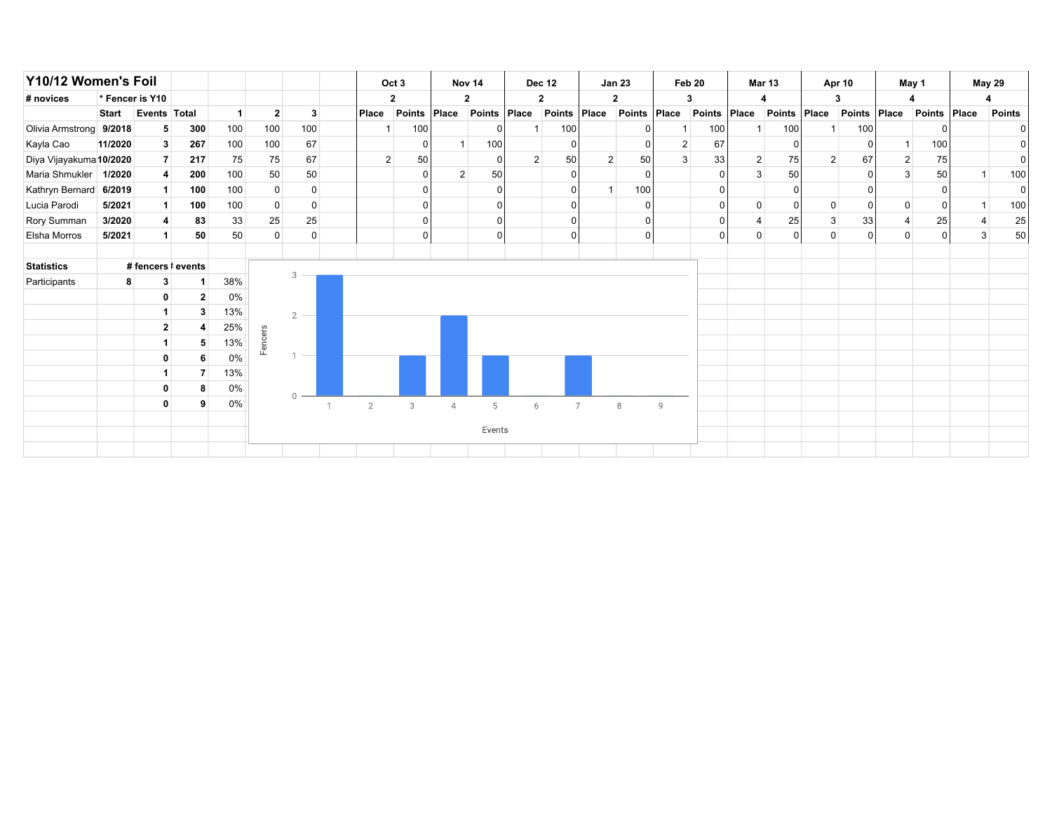| Y10/12 Women's Foil     |              |                 |                    |     |                |                |  | Oct <sub>3</sub> |        |                | Nov <sub>14</sub> |                | <b>Dec 12</b>  |                | <b>Jan 23</b>  |                | Feb 20         | <b>Mar 13</b>  |              |                | Apr 10   |                | May 1        |   | <b>May 29</b>  |
|-------------------------|--------------|-----------------|--------------------|-----|----------------|----------------|--|------------------|--------|----------------|-------------------|----------------|----------------|----------------|----------------|----------------|----------------|----------------|--------------|----------------|----------|----------------|--------------|---|----------------|
| # novices               |              | * Fencer is Y10 |                    |     |                |                |  |                  | 2      |                | 2                 |                | 2              |                | 2              |                | 3              |                |              |                | з        |                |              |   |                |
|                         | <b>Start</b> | Events Total    |                    | 1   | $\overline{2}$ | 3              |  | Place            | Points | Place          | Points Place      |                | <b>Points</b>  | Place          | Points Place   |                | Points         | Place          | Points Place |                | Points   | Place          | Points Place |   | <b>Points</b>  |
| Olivia Armstrong 9/2018 |              | 5               | 300                | 100 | 100            | 100            |  |                  | 100    |                |                   |                | 100            |                | 0              |                | 100            |                | 100          |                | 100      |                |              |   |                |
| Kayla Cao               | 11/2020      | 3               | 267                | 100 | 100            | 67             |  |                  |        | $\overline{1}$ | 100               |                | $\Omega$       |                | $\overline{0}$ | 2 <sup>1</sup> | 67             |                | 0            |                | ŋ        |                | 100          |   | 01             |
| Diya Vijayakuma 10/2020 |              | 7 <sup>1</sup>  | 217                | 75  | 75             | 67             |  | 2                | 50     |                | $\Omega$          | $\overline{2}$ | 50             | $\overline{2}$ | 50             | 3              | 33             | $\overline{2}$ | 75           | $\overline{2}$ | 67       | $\overline{2}$ | 75           |   | $\overline{0}$ |
| Maria Shmukler          | 1/2020       | $\overline{4}$  | 200                | 100 | 50             | 50             |  |                  |        | 2 <sup>1</sup> | 50                |                | $\Omega$       |                | $\overline{0}$ |                | 0              | 3              | 50           |                | $\Omega$ | 3              | 50           |   | 100            |
| Kathryn Bernard 6/2019  |              | $\mathbf{1}$    | 100                | 100 |                | $\mathbf 0$    |  |                  |        |                |                   |                | $\Omega$       |                | 100            |                | 0              |                |              |                |          |                |              |   | $\overline{0}$ |
| Lucia Parodi            | 5/2021       | $\mathbf{1}$    | 100                | 100 |                | 0              |  |                  |        |                |                   |                | ∩              |                | $\overline{0}$ |                | 0              | $\mathbf 0$    | 0            | $\mathbf 0$    | $\Omega$ | $\Omega$       | 0            |   | 100            |
| Rory Summan             | 3/2020       | 4               | 83                 | 33  | 25             | 25             |  |                  |        |                | $\Omega$          |                | $\Omega$       |                | 0              |                | $\overline{0}$ | 4              | 25           | $\mathbf{3}$   | 33       | $\overline{4}$ | 25           |   | 25             |
| Elsha Morros            | 5/2021       | $\mathbf{1}$    | 50                 | 50  | 0              | $\mathbf 0$    |  |                  |        |                | $\Omega$          |                | $\Omega$       |                | 0              |                | $\overline{0}$ | $\pmb{0}$      | 0            | $\mathbf 0$    | $\Omega$ | 0              | 0            | 3 | 50             |
|                         |              |                 |                    |     |                |                |  |                  |        |                |                   |                |                |                |                |                |                |                |              |                |          |                |              |   |                |
| <b>Statistics</b>       |              |                 | # fencers   events |     |                |                |  |                  |        |                |                   |                |                |                |                |                |                |                |              |                |          |                |              |   |                |
| Participants            |              | 3               |                    | 38% |                | 3              |  |                  |        |                |                   |                |                |                |                |                |                |                |              |                |          |                |              |   |                |
|                         |              | 0               |                    | 0%  |                |                |  |                  |        |                |                   |                |                |                |                |                |                |                |              |                |          |                |              |   |                |
|                         |              |                 |                    | 13% |                | $\overline{2}$ |  |                  |        |                |                   |                |                |                |                |                |                |                |              |                |          |                |              |   |                |
|                         |              | 2               |                    | 25% |                |                |  |                  |        |                |                   |                |                |                |                |                |                |                |              |                |          |                |              |   |                |
|                         |              | $\mathbf 1$     | 5                  | 13% | encers         |                |  |                  |        |                |                   |                |                |                |                |                |                |                |              |                |          |                |              |   |                |
|                         |              | 0               |                    | 0%  |                |                |  |                  |        |                |                   |                |                |                |                |                |                |                |              |                |          |                |              |   |                |
|                         |              | 1               |                    | 13% |                |                |  |                  |        |                |                   |                |                |                |                |                |                |                |              |                |          |                |              |   |                |
|                         |              | 0               |                    | 0%  |                |                |  |                  |        |                |                   |                |                |                |                |                |                |                |              |                |          |                |              |   |                |
|                         |              | $\mathbf 0$     |                    | 0%  |                | $\mathbf{0}$   |  | $\overline{2}$   | 3      | $\overline{4}$ | 5                 | 6              | $\overline{7}$ |                | 8              | $\overline{9}$ |                |                |              |                |          |                |              |   |                |
|                         |              |                 |                    |     |                |                |  |                  |        |                |                   |                |                |                |                |                |                |                |              |                |          |                |              |   |                |
|                         | Events       |                 |                    |     |                |                |  |                  |        |                |                   |                |                |                |                |                |                |                |              |                |          |                |              |   |                |
|                         |              |                 |                    |     |                |                |  |                  |        |                |                   |                |                |                |                |                |                |                |              |                |          |                |              |   |                |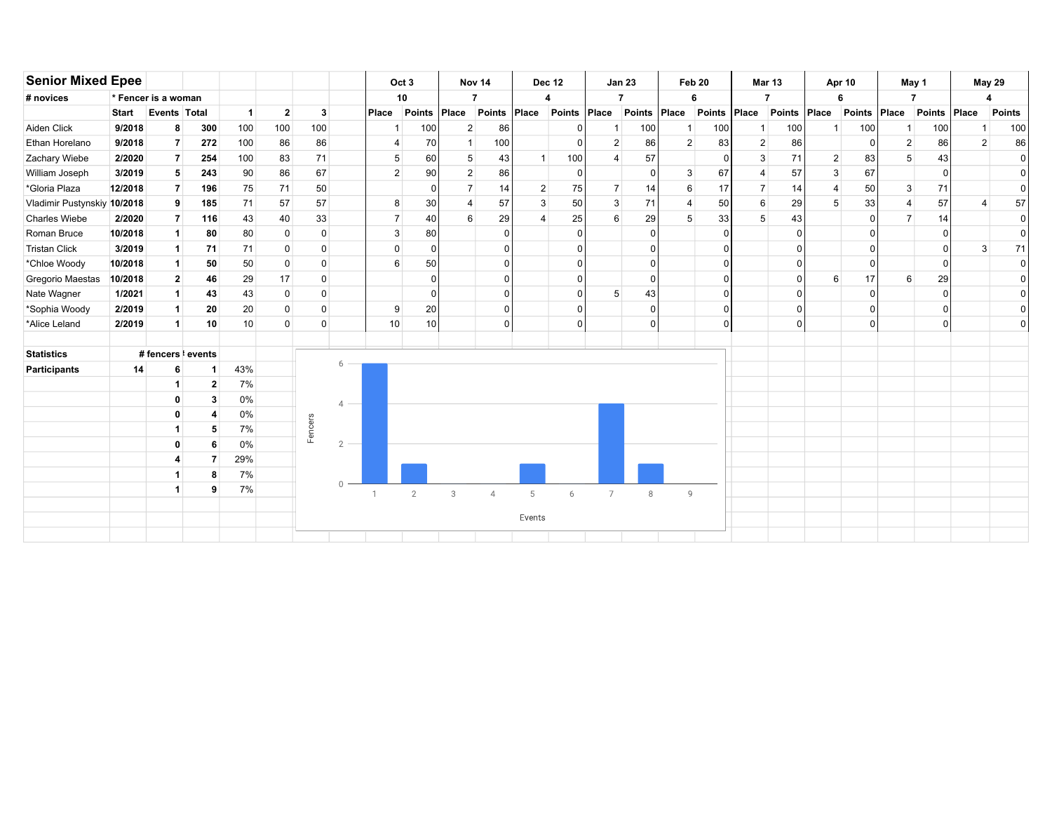| <b>Senior Mixed Epee</b>    |                      |                      |                            |                      |              |             |                |                | Oct 3          |                | Nov 14         |                | <b>Dec 12</b> |                | <b>Jan 23</b> |                | Feb 20        | Mar 13         |                |                | Apr 10        |                | May 1          |                | <b>May 29</b> |
|-----------------------------|----------------------|----------------------|----------------------------|----------------------|--------------|-------------|----------------|----------------|----------------|----------------|----------------|----------------|---------------|----------------|---------------|----------------|---------------|----------------|----------------|----------------|---------------|----------------|----------------|----------------|---------------|
| # novices                   |                      | * Fencer is a woman  |                            |                      |              |             |                |                | 10             |                | $\overline{7}$ |                | 4             | $\overline{7}$ |               |                | 6             |                | $\overline{7}$ |                | 6             |                | $\overline{7}$ |                | 4             |
|                             | <b>Start</b>         |                      | Events Total               | $\blacktriangleleft$ | $\mathbf{2}$ | 3           |                | Place          | <b>Points</b>  | Place          | Points         | Place          | <b>Points</b> | Place          | Points        | Place          | <b>Points</b> | Place          | <b>Points</b>  | Place          | <b>Points</b> | Place          | Points         | Place          | <b>Points</b> |
| Aiden Click                 | 9/2018               |                      | 300<br>8                   | 100                  | 100          | 100         |                | -1             | 100            | $2 \vert$      | 86             |                |               |                | 100           | -1             | 100           |                | 100            |                | 100           |                | 100            |                | 100           |
| Ethan Horelano              | 9/2018               |                      | 272<br>$\overline{7}$      | 100                  | 86           | 86          |                | $\overline{4}$ | 70             | $\overline{1}$ | 100            |                |               | $\overline{2}$ | 86            | $\overline{2}$ | 83            | $\overline{2}$ | 86             |                | $\Omega$      | $\overline{2}$ | 86             | $\overline{2}$ | 86            |
| Zachary Wiebe               | 2/2020               |                      | $\overline{7}$<br>254      | 100                  | 83           | 71          |                | 5              | 60             | 5              | 43             | $\overline{1}$ | 100           | $\Delta$       | 57            |                | $\Omega$      | 3              | 71             | $\overline{2}$ | 83            | 5              | 43             |                | $\Omega$      |
| William Joseph              | 3/2019               |                      | 5<br>243                   | 90                   | 86           | 67          |                | $\overline{2}$ | 90             | $\overline{2}$ | 86             |                | $\Omega$      |                | $\Omega$      | 3              | 67            | 4              | 57             | 3              | 67            |                | 0              |                | $\Omega$      |
| *Gloria Plaza               | 12/2018              |                      | 196<br>$\overline{7}$      | 75                   | 71           | 50          |                |                | 0              | $\overline{7}$ | 14             | 2              | 75            | $\overline{7}$ | 14            | 6              | 17            | $\overline{7}$ | 14             | 4              | 50            | 3              | 71             |                | $\mathbf{0}$  |
| Vladimir Pustynskiy 10/2018 |                      | 9                    | 185                        | 71                   | 57           | 57          |                | 8              | 30             | $\overline{4}$ | 57             | 3              | 50            | 3              | 71            | $\overline{4}$ | 50            | 6              | 29             | 5              | 33            |                | 57             |                | 57            |
| <b>Charles Wiebe</b>        | 2/2020               |                      | $\overline{7}$<br>116      | 43                   | 40           | 33          |                | $\overline{7}$ | 40             | 6              | 29             | $\overline{4}$ | 25            | 6              | 29            | 5              | 33            | 5              | 43             |                | $\Omega$      | $\overline{7}$ | 14             |                | $\mathbf{0}$  |
| Roman Bruce                 | 10/2018              | $\blacktriangleleft$ | 80                         | 80                   | $\mathbf 0$  | $\mathsf 0$ |                | 3              | 80             |                |                |                |               |                | $\Omega$      |                | $\Omega$      |                | $\Omega$       |                | $\Omega$      |                | <sup>0</sup>   |                | O             |
| <b>Tristan Click</b>        | 3/2019               | -1                   | 71                         | 71                   | $\mathbf 0$  | $\mathbf 0$ |                | $\Omega$       | $\mathbf 0$    |                |                |                |               |                | $\Omega$      |                | $\Omega$      |                | $\Omega$       |                | $\Omega$      |                | $\mathbf{0}$   | 3              | 71            |
| *Chloe Woody                | 10/2018              |                      | 50<br>$\blacktriangleleft$ | 50                   | $\mathsf 0$  | $\mathbf 0$ |                | 6              | 50             |                |                |                |               |                | $\Omega$      |                | $\Omega$      |                | $\Omega$       |                | $\Omega$      |                | $\Omega$       |                | $\mathbf 0$   |
| <b>Gregorio Maestas</b>     | 10/2018              |                      | 46<br>$\overline{2}$       | 29                   | 17           | $\mathsf 0$ |                |                | $\Omega$       |                |                |                |               |                | $\Omega$      |                | $\Omega$      |                | $\Omega$       | 6              | 17            | 6              | 29             |                | $\Omega$      |
| Nate Wagner                 | 1/2021               | $\mathbf 1$          | 43                         | 43                   | $\mathbf 0$  | $\mathbf 0$ |                |                | $\Omega$       |                |                |                |               | 5              | 43            |                | C             |                | $\Omega$       |                | $\Omega$      |                | U              |                | $\mathbf{0}$  |
| *Sophia Woody               | 2/2019               | $\mathbf 1$          | 20                         | 20                   | 0            | 0           |                | 9              | 20             |                |                |                |               |                | $\Omega$      |                | $\Omega$      |                | $\Omega$       |                | $\Omega$      |                | <sup>0</sup>   |                | 0             |
| *Alice Leland               | 2/2019               | $\mathbf 1$          | 10                         | 10                   | 0            | 0           |                | 10             | 10             |                | ∩              |                | $\mathbf{0}$  |                | $\Omega$      |                | $\Omega$      |                | $\mathbf 0$    |                | 0             |                | 0              |                | $\mathbf 0$   |
| <b>Statistics</b>           |                      |                      | # fencers <i>k</i> events  |                      |              |             |                |                |                |                |                |                |               |                |               |                |               |                |                |                |               |                |                |                |               |
| Participants                | 14                   |                      | 6<br>1                     | 43%                  |              |             | 6              |                |                |                |                |                |               |                |               |                |               |                |                |                |               |                |                |                |               |
|                             |                      |                      | $\mathbf{2}$               | 7%                   |              |             |                |                |                |                |                |                |               |                |               |                |               |                |                |                |               |                |                |                |               |
|                             |                      |                      | 3<br>$\mathbf 0$           | 0%                   |              |             | $\overline{4}$ |                |                |                |                |                |               |                |               |                |               |                |                |                |               |                |                |                |               |
|                             |                      |                      | 0<br>4                     | 0%                   |              |             |                |                |                |                |                |                |               |                |               |                |               |                |                |                |               |                |                |                |               |
|                             |                      |                      | 5                          | 7%                   |              | Fencers     |                |                |                |                |                |                |               |                |               |                |               |                |                |                |               |                |                |                |               |
|                             |                      |                      | $\bf{0}$<br>6              | 0%                   |              |             | $\overline{2}$ |                |                |                |                |                |               |                |               |                |               |                |                |                |               |                |                |                |               |
|                             |                      |                      | $\overline{7}$             | 29%                  |              |             |                |                |                |                |                |                |               |                |               |                |               |                |                |                |               |                |                |                |               |
|                             | 4                    |                      | 8                          | 7%                   |              |             |                |                |                |                |                |                |               |                |               |                |               |                |                |                |               |                |                |                |               |
|                             | $\blacktriangleleft$ |                      | 9                          | 7%                   |              |             | $\bigcap$      |                | $\overline{2}$ | 3              | $\overline{4}$ | 5              | 6             | $\overline{7}$ | 8             | 9              |               |                |                |                |               |                |                |                |               |
|                             |                      |                      |                            |                      |              |             |                |                |                |                |                |                |               |                |               |                |               |                |                |                |               |                |                |                |               |
|                             |                      |                      |                            |                      |              |             |                |                |                |                |                | Events         |               |                |               |                |               |                |                |                |               |                |                |                |               |
|                             |                      |                      |                            |                      |              |             |                |                |                |                |                |                |               |                |               |                |               |                |                |                |               |                |                |                |               |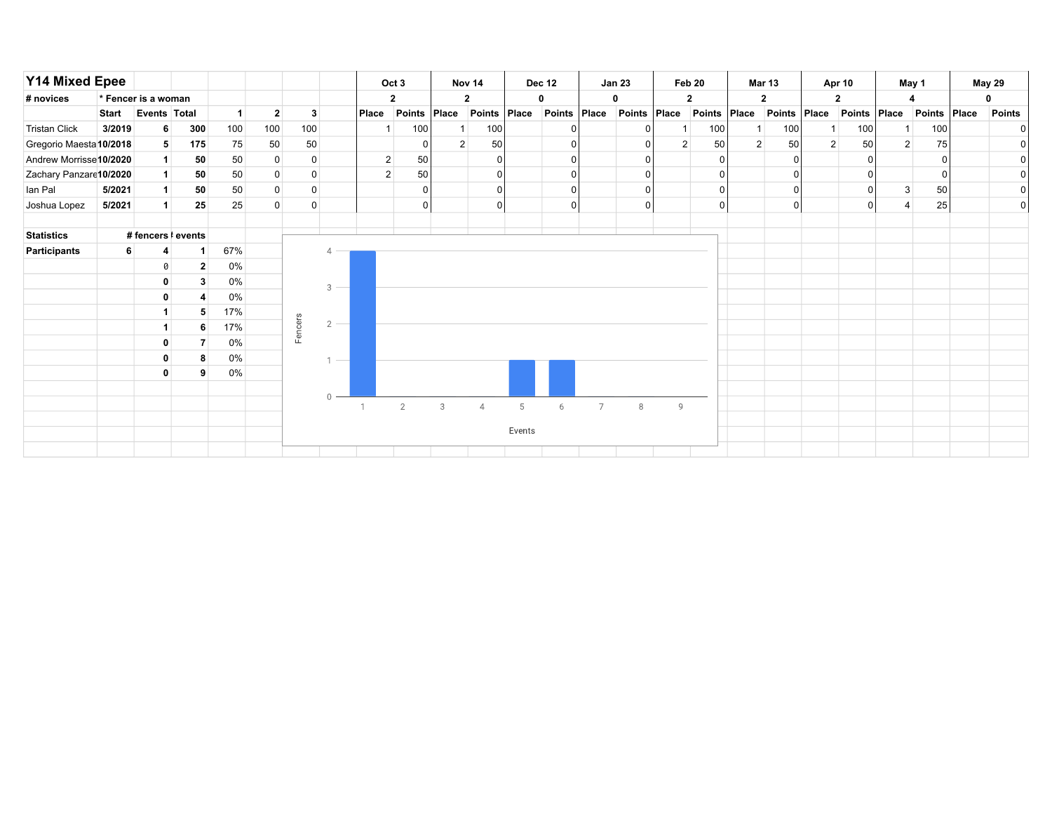| <b>Y14 Mixed Epee</b>   |              |                     |              |                |                |             |                |                | Oct 3          |       | Nov <sub>14</sub> |        | <b>Dec 12</b> |                | <b>Jan 23</b> |   | Feb 20         |                | <b>Mar 13</b>  |                | Apr 10        |                | May 1        | <b>May 29</b> |
|-------------------------|--------------|---------------------|--------------|----------------|----------------|-------------|----------------|----------------|----------------|-------|-------------------|--------|---------------|----------------|---------------|---|----------------|----------------|----------------|----------------|---------------|----------------|--------------|---------------|
| # novices               |              | * Fencer is a woman |              |                |                |             |                |                | $\mathbf{2}$   |       | $\mathbf{2}$      |        |               |                |               |   | $\mathbf{2}$   |                | $\mathbf{2}$   |                | 2             |                |              |               |
|                         | <b>Start</b> | Events Total        |              | 1 <sup>1</sup> | $\overline{2}$ | 3           |                | Place          | Points         | Place | Points Place      |        | Points        | Place          | Points Place  |   | Points Place   |                | Points Place   |                | <b>Points</b> | Place          | Points Place | <b>Points</b> |
| <b>Tristan Click</b>    | 3/2019       | 6                   | 300          | 100            | 100            | 100         |                |                | 100            |       | 100               |        |               |                |               |   | 100            |                | 100            |                | 100           |                | 100          | 01            |
| Gregorio Maesta 10/2018 |              | 5 <sup>1</sup>      | 175          | 75             | 50             | 50          |                |                |                | 2     | 50                |        |               |                | <sup>n</sup>  | 2 | 50             | $\overline{2}$ | 50             | $\overline{2}$ | 50            | $\overline{2}$ | 75           | 0             |
| Andrew Morrisse 10/2020 |              | 1                   | 50           | 50             | 0              | 0           |                | $\overline{2}$ | 50             |       |                   |        |               |                | <sup>n</sup>  |   | 0              |                |                |                | ŋ             |                |              | 0             |
| Zachary Panzare10/2020  |              | 1                   | 50           | 50             | 0              | $\mathbf 0$ |                | $\overline{2}$ | 50             |       |                   |        |               |                | $\Omega$      |   | $\overline{0}$ |                |                |                |               |                | 0            | 0             |
| lan Pal                 | 5/2021       | 1                   | 50           | 50             | $\mathbf 0$    | $\mathbf 0$ |                |                |                |       |                   |        |               |                | $\Omega$      |   | $\overline{0}$ |                | 0              |                | $\Omega$      | $\mathbf{3}$   | 50           | $\circ$       |
| Joshua Lopez            | 5/2021       | 1 <sup>1</sup>      | 25           | 25             | $\mathbf 0$    | $\mathbf 0$ |                |                |                |       |                   |        |               |                | $\Omega$      |   | 0              |                | $\overline{0}$ |                | 0             |                | 25           | $\circ$       |
|                         |              |                     |              |                |                |             |                |                |                |       |                   |        |               |                |               |   |                |                |                |                |               |                |              |               |
| <b>Statistics</b>       |              | #fencers   events   |              |                |                |             |                |                |                |       |                   |        |               |                |               |   |                |                |                |                |               |                |              |               |
| Participants            |              | 4                   | 1            | 67%            |                |             |                |                |                |       |                   |        |               |                |               |   |                |                |                |                |               |                |              |               |
|                         |              | 0                   | $\mathbf{2}$ | 0%             |                |             |                |                |                |       |                   |        |               |                |               |   |                |                |                |                |               |                |              |               |
|                         |              | 0                   | 3            | $0\%$          |                |             | $3 -$          |                |                |       |                   |        |               |                |               |   |                |                |                |                |               |                |              |               |
|                         |              | 0                   |              | $0\%$          |                |             |                |                |                |       |                   |        |               |                |               |   |                |                |                |                |               |                |              |               |
|                         |              | $\mathbf{1}$        | 5            | 17%            |                |             |                |                |                |       |                   |        |               |                |               |   |                |                |                |                |               |                |              |               |
|                         |              | $\mathbf{1}$        | 6            | 17%            |                | Fencers     | $\overline{2}$ |                |                |       |                   |        |               |                |               |   |                |                |                |                |               |                |              |               |
|                         |              | 0                   |              | $0\%$          |                |             |                |                |                |       |                   |        |               |                |               |   |                |                |                |                |               |                |              |               |
|                         |              | 0                   |              | $0\%$          |                |             |                |                |                |       |                   |        |               |                |               |   |                |                |                |                |               |                |              |               |
|                         |              | $\mathbf 0$         | 9            | $0\%$          |                |             |                |                |                |       |                   |        |               |                |               |   |                |                |                |                |               |                |              |               |
|                         |              |                     |              |                |                |             |                |                |                |       |                   |        |               |                |               |   |                |                |                |                |               |                |              |               |
|                         |              |                     |              |                |                |             |                |                | $\overline{2}$ | 3     | $\overline{4}$    | 5      | 6             | $\overline{7}$ | 8             | 9 |                |                |                |                |               |                |              |               |
|                         |              |                     |              |                |                |             |                |                |                |       |                   |        |               |                |               |   |                |                |                |                |               |                |              |               |
|                         |              |                     |              |                |                |             |                |                |                |       |                   | Events |               |                |               |   |                |                |                |                |               |                |              |               |
|                         |              |                     |              |                |                |             |                |                |                |       |                   |        |               |                |               |   |                |                |                |                |               |                |              |               |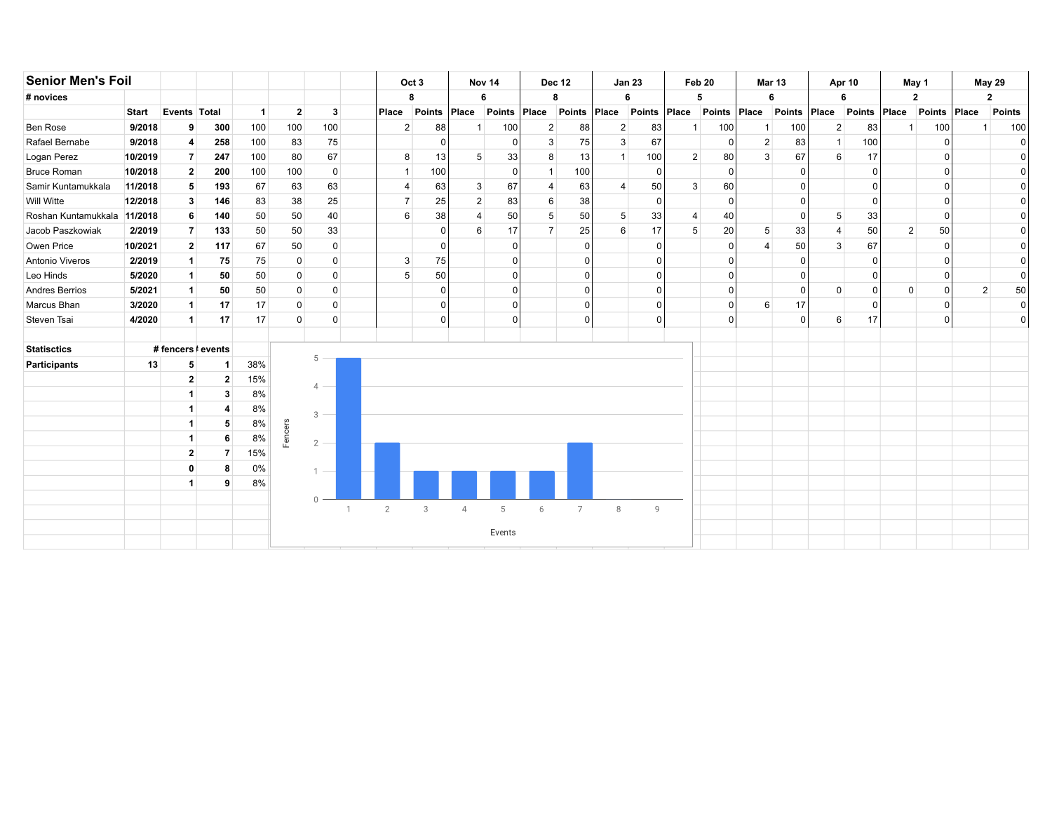| <b>Senior Men's Foil</b> |              |                |                    |                |                |                |              |                | Oct <sub>3</sub> |                | Nov 14        | <b>Dec 12</b>  |                |                | <b>Jan 23</b> |                | Feb 20         | <b>Mar 13</b>  |              |                | <b>Apr 10</b> |              | May 1         |                | <b>May 29</b>  |
|--------------------------|--------------|----------------|--------------------|----------------|----------------|----------------|--------------|----------------|------------------|----------------|---------------|----------------|----------------|----------------|---------------|----------------|----------------|----------------|--------------|----------------|---------------|--------------|---------------|----------------|----------------|
| # novices                |              |                |                    |                |                |                |              | 8              |                  |                | 6             | 8              |                |                | 6             |                | 5              | 6              |              |                | 6             |              | $\mathbf{2}$  |                | 2              |
|                          | <b>Start</b> | Events Total   |                    | $\overline{1}$ | $\overline{2}$ | $\mathbf{3}$   |              | Place          | <b>Points</b>    | Place          | <b>Points</b> | Place          | Points         | Place          | Points        | Place          | Points Place   |                | Points       | Place          | <b>Points</b> | Place        | <b>Points</b> | Place          | <b>Points</b>  |
| <b>Ben Rose</b>          | 9/2018       | 9              | 300                | 100            | 100            | 100            |              | $\overline{2}$ | 88               |                | 100           | $\overline{2}$ | 88             | $\mathbf{2}$   | 83            |                | 100            | 1              | 100          | $\overline{2}$ | 83            | 1            | 100           |                | 100            |
| Rafael Bernabe           | 9/2018       | 4              | 258                | 100            | 83             | 75             |              |                | $\Omega$         |                | 0             | 3              | 75             | 3              | 67            |                | $\overline{0}$ | 2              | 83           | $\mathbf{1}$   | 100           |              |               |                | n              |
| Logan Perez              | 10/2019      | $\overline{7}$ | 247                | 100            | 80             | 67             |              | 8              | 13               | 5              | 33            | 8              | 13             | $\mathbf{1}$   | 100           | 2 <sup>1</sup> | 80             | 3              | 67           | 6              | 17            |              |               |                | <sup>n</sup>   |
| <b>Bruce Roman</b>       | 10/2018      | $\mathbf{2}$   | 200                | 100            | 100            | $\mathbf 0$    |              | $\overline{1}$ | 100              |                | $\Omega$      |                | 100            |                | $\Omega$      |                | 0              |                | <sup>0</sup> |                |               |              |               |                | $\Omega$       |
| Samir Kuntamukkala       | 11/2018      | 5              | 193                | 67             | 63             | 63             |              | $\overline{4}$ | 63               | 3              | 67            | 4              | 63             | $\overline{4}$ | 50            | 3              | 60             |                |              |                |               |              |               |                | $\mathbf{0}$   |
| Will Witte               | 12/2018      | 3              | 146                | 83             | 38             | 25             |              | $\overline{7}$ | 25               | $\overline{2}$ | 83            | 6              | 38             |                | $\Omega$      |                | 0              |                |              |                |               |              |               |                | $\overline{0}$ |
| Roshan Kuntamukkala      | 11/2018      | 6              | 140                | 50             | 50             | 40             |              | 6              | 38               |                | 50            | 5              | 50             | 5              | 33            |                | 40             |                | ∩            | 5              | 33            |              |               |                | $\overline{0}$ |
| Jacob Paszkowiak         | 2/2019       | $\overline{7}$ | 133                | 50             | 50             | 33             |              |                | $\Omega$         | 6              | 17            | $\overline{7}$ | 25             | 6              | 17            | 5              | 20             | 5              | 33           | 4              | 50            | $2 \mid$     | 50            |                | $\mathbf{0}$   |
| Owen Price               | 10/2021      | $\overline{2}$ | 117                | 67             | 50             | $\mathbf 0$    |              |                | $\Omega$         |                | $\Omega$      |                |                |                | $\Omega$      |                | 0              | $\overline{A}$ | 50           | 3              | 67            |              |               |                | $\Omega$       |
| Antonio Viveros          | 2/2019       | $\mathbf{1}$   | 75                 | 75             | $\overline{0}$ | 0              |              | 3              | 75               |                | C             |                |                |                | ŋ             |                | 0              |                | <sup>0</sup> |                | U             |              |               |                | $\Omega$       |
| Leo Hinds                | 5/2020       | -1             | 50                 | 50             | $\overline{0}$ | $\mathbf 0$    |              | 5              | 50               |                | O             |                |                |                | $\Omega$      |                | 0              |                | ∩            |                | O             |              |               |                | $\Omega$       |
| Andres Berrios           | 5/2021       | $\mathbf{1}$   | 50                 | 50             | $\overline{0}$ | $\mathbf 0$    |              |                | $\Omega$         |                | $\Omega$      |                |                |                | $\Omega$      |                | 0              |                | $\Omega$     | $\mathbf 0$    | $\Omega$      | $\mathbf{0}$ | $\Omega$      | $\overline{2}$ | 50             |
| Marcus Bhan              | 3/2020       | $\mathbf{1}$   | 17                 | 17             | $\overline{0}$ | $\mathbf 0$    |              |                | $\Omega$         |                | 0             |                |                |                | O             |                | 0              | 6              | 17           |                | n             |              |               |                | $\overline{0}$ |
| Steven Tsai              | 4/2020       | -1             | 17                 | 17             | $\overline{0}$ | $\Omega$       |              |                | $\Omega$         |                | 0             |                |                |                | $\Omega$      |                | 0              |                | $\Omega$     | 6              | 17            |              | $\Omega$      |                | $\overline{0}$ |
|                          |              |                |                    |                |                |                |              |                |                  |                |               |                |                |                |               |                |                |                |              |                |               |              |               |                |                |
| <b>Statisctics</b>       |              |                | # fencers   events |                |                | 5              |              |                |                  |                |               |                |                |                |               |                |                |                |              |                |               |              |               |                |                |
| <b>Participants</b>      | 13           | 5              | 1                  | 38%            |                |                |              |                |                  |                |               |                |                |                |               |                |                |                |              |                |               |              |               |                |                |
|                          |              | $\mathbf{2}$   | $\mathbf{2}$       | 15%            |                | 4              |              |                |                  |                |               |                |                |                |               |                |                |                |              |                |               |              |               |                |                |
|                          |              |                | 3                  | 8%             |                |                |              |                |                  |                |               |                |                |                |               |                |                |                |              |                |               |              |               |                |                |
|                          |              |                | 4                  | 8%             |                | 3              |              |                |                  |                |               |                |                |                |               |                |                |                |              |                |               |              |               |                |                |
|                          |              |                | 5                  | 8%             | Fencers        |                |              |                |                  |                |               |                |                |                |               |                |                |                |              |                |               |              |               |                |                |
|                          |              |                | 6                  | 8%             |                | $\overline{2}$ |              |                |                  |                |               |                |                |                |               |                |                |                |              |                |               |              |               |                |                |
|                          |              | $\mathbf{2}$   | $\overline{7}$     | 15%            |                |                |              |                |                  |                |               |                |                |                |               |                |                |                |              |                |               |              |               |                |                |
|                          |              | 0              | 8                  | $0\%$          |                |                |              |                |                  |                |               |                |                |                |               |                |                |                |              |                |               |              |               |                |                |
|                          |              | -1             | 9                  | 8%             |                |                |              |                |                  |                |               |                |                |                |               |                |                |                |              |                |               |              |               |                |                |
|                          |              |                |                    |                |                | $\Omega$       |              |                |                  |                |               |                |                |                |               |                |                |                |              |                |               |              |               |                |                |
|                          |              |                |                    |                |                |                | $\mathbf{1}$ | $\overline{2}$ | 3                | $\overline{4}$ | 5             | 6              | $\overline{7}$ | 8              | 9             |                |                |                |              |                |               |              |               |                |                |
|                          |              |                |                    |                |                |                |              |                |                  |                | Events        |                |                |                |               |                |                |                |              |                |               |              |               |                |                |
|                          |              |                |                    |                |                |                |              |                |                  |                |               |                |                |                |               |                |                |                |              |                |               |              |               |                |                |